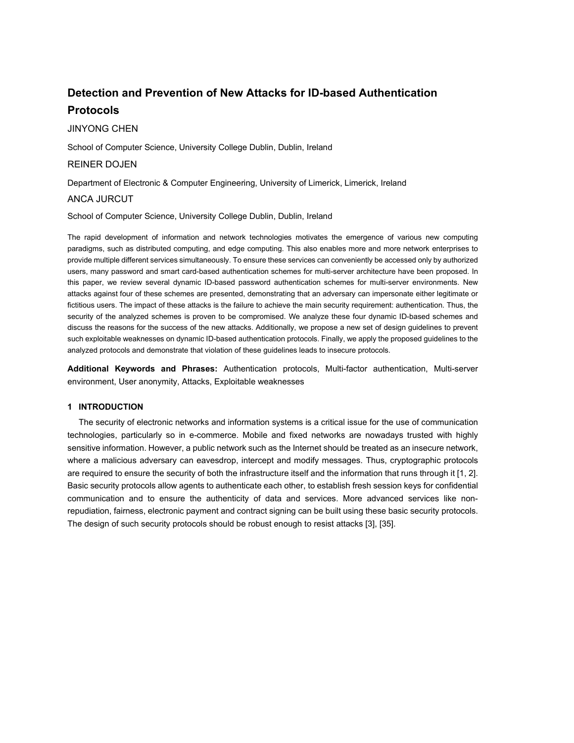# **Detection and Prevention of New Attacks for ID-based Authentication Protocols**

# JINYONG CHEN

School of Computer Science, University College Dublin, Dublin, Ireland

# REINER DOJEN

Department of Electronic & Computer Engineering, University of Limerick, Limerick, Ireland

# ANCA JURCUT

School of Computer Science, University College Dublin, Dublin, Ireland

The rapid development of information and network technologies motivates the emergence of various new computing paradigms, such as distributed computing, and edge computing. This also enables more and more network enterprises to provide multiple different services simultaneously. To ensure these services can conveniently be accessed only by authorized users, many password and smart card-based authentication schemes for multi-server architecture have been proposed. In this paper, we review several dynamic ID-based password authentication schemes for multi-server environments. New attacks against four of these schemes are presented, demonstrating that an adversary can impersonate either legitimate or fictitious users. The impact of these attacks is the failure to achieve the main security requirement: authentication. Thus, the security of the analyzed schemes is proven to be compromised. We analyze these four dynamic ID-based schemes and discuss the reasons for the success of the new attacks. Additionally, we propose a new set of design guidelines to prevent such exploitable weaknesses on dynamic ID-based authentication protocols. Finally, we apply the proposed guidelines to the analyzed protocols and demonstrate that violation of these guidelines leads to insecure protocols.

**Additional Keywords and Phrases:** Authentication protocols, Multi-factor authentication, Multi-server environment, User anonymity, Attacks, Exploitable weaknesses

# **1 INTRODUCTION**

The security of electronic networks and information systems is a critical issue for the use of communication technologies, particularly so in e-commerce. Mobile and fixed networks are nowadays trusted with highly sensitive information. However, a public network such as the Internet should be treated as an insecure network, where a malicious adversary can eavesdrop, intercept and modify messages. Thus, cryptographic protocols are required to ensure the security of both the infrastructure itself and the information that runs through it [1, 2]. Basic security protocols allow agents to authenticate each other, to establish fresh session keys for confidential communication and to ensure the authenticity of data and services. More advanced services like nonrepudiation, fairness, electronic payment and contract signing can be built using these basic security protocols. The design of such security protocols should be robust enough to resist attacks [3], [35].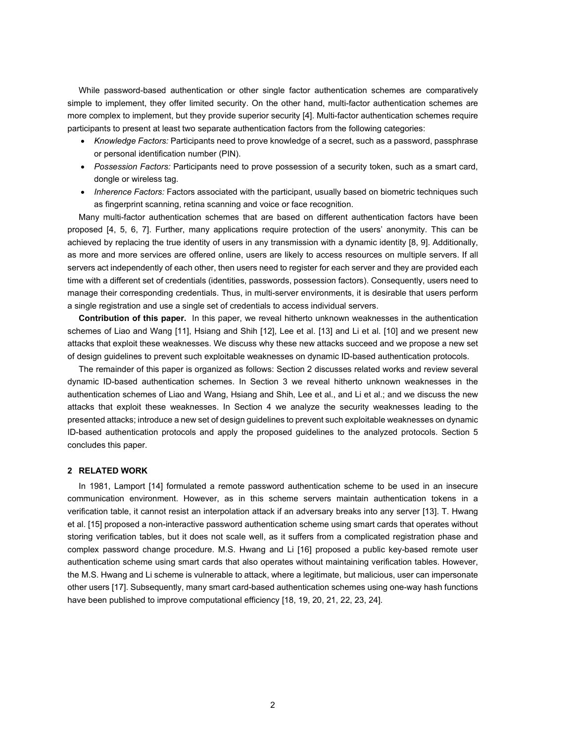While password-based authentication or other single factor authentication schemes are comparatively simple to implement, they offer limited security. On the other hand, multi-factor authentication schemes are more complex to implement, but they provide superior security [4]. Multi-factor authentication schemes require participants to present at least two separate authentication factors from the following categories:

- *Knowledge Factors:* Participants need to prove knowledge of a secret, such as a password, passphrase or personal identification number (PIN).
- *Possession Factors:* Participants need to prove possession of a security token, such as a smart card, dongle or wireless tag.
- *Inherence Factors:* Factors associated with the participant, usually based on biometric techniques such as fingerprint scanning, retina scanning and voice or face recognition.

Many multi-factor authentication schemes that are based on different authentication factors have been proposed [4, 5, 6, 7]. Further, many applications require protection of the users' anonymity. This can be achieved by replacing the true identity of users in any transmission with a dynamic identity [8, 9]. Additionally, as more and more services are offered online, users are likely to access resources on multiple servers. If all servers act independently of each other, then users need to register for each server and they are provided each time with a different set of credentials (identities, passwords, possession factors). Consequently, users need to manage their corresponding credentials. Thus, in multi-server environments, it is desirable that users perform a single registration and use a single set of credentials to access individual servers.

**Contribution of this paper.** In this paper, we reveal hitherto unknown weaknesses in the authentication schemes of Liao and Wang [11], Hsiang and Shih [12], Lee et al. [13] and Li et al. [10] and we present new attacks that exploit these weaknesses. We discuss why these new attacks succeed and we propose a new set of design guidelines to prevent such exploitable weaknesses on dynamic ID-based authentication protocols.

The remainder of this paper is organized as follows: Section 2 discusses related works and review several dynamic ID-based authentication schemes. In Section 3 we reveal hitherto unknown weaknesses in the authentication schemes of Liao and Wang, Hsiang and Shih, Lee et al., and Li et al.; and we discuss the new attacks that exploit these weaknesses. In Section 4 we analyze the security weaknesses leading to the presented attacks; introduce a new set of design guidelines to prevent such exploitable weaknesses on dynamic ID-based authentication protocols and apply the proposed guidelines to the analyzed protocols. Section 5 concludes this paper.

## **2 RELATED WORK**

In 1981, Lamport [14] formulated a remote password authentication scheme to be used in an insecure communication environment. However, as in this scheme servers maintain authentication tokens in a verification table, it cannot resist an interpolation attack if an adversary breaks into any server [13]. T. Hwang et al. [15] proposed a non-interactive password authentication scheme using smart cards that operates without storing verification tables, but it does not scale well, as it suffers from a complicated registration phase and complex password change procedure. M.S. Hwang and Li [16] proposed a public key-based remote user authentication scheme using smart cards that also operates without maintaining verification tables. However, the M.S. Hwang and Li scheme is vulnerable to attack, where a legitimate, but malicious, user can impersonate other users [17]. Subsequently, many smart card-based authentication schemes using one-way hash functions have been published to improve computational efficiency [18, 19, 20, 21, 22, 23, 24].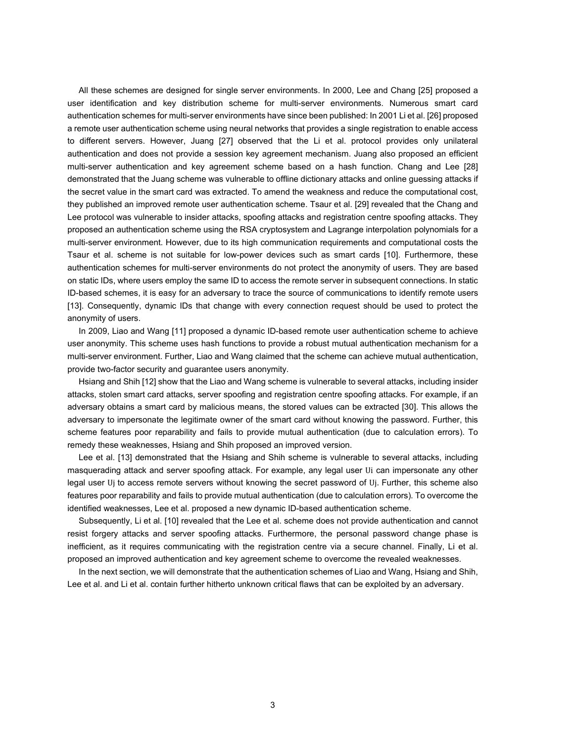All these schemes are designed for single server environments. In 2000, Lee and Chang [25] proposed a user identification and key distribution scheme for multi-server environments. Numerous smart card authentication schemes for multi-server environments have since been published: In 2001 Li et al. [26] proposed a remote user authentication scheme using neural networks that provides a single registration to enable access to different servers. However, Juang [27] observed that the Li et al. protocol provides only unilateral authentication and does not provide a session key agreement mechanism. Juang also proposed an efficient multi-server authentication and key agreement scheme based on a hash function. Chang and Lee [28] demonstrated that the Juang scheme was vulnerable to offline dictionary attacks and online guessing attacks if the secret value in the smart card was extracted. To amend the weakness and reduce the computational cost, they published an improved remote user authentication scheme. Tsaur et al. [29] revealed that the Chang and Lee protocol was vulnerable to insider attacks, spoofing attacks and registration centre spoofing attacks. They proposed an authentication scheme using the RSA cryptosystem and Lagrange interpolation polynomials for a multi-server environment. However, due to its high communication requirements and computational costs the Tsaur et al. scheme is not suitable for low-power devices such as smart cards [10]. Furthermore, these authentication schemes for multi-server environments do not protect the anonymity of users. They are based on static IDs, where users employ the same ID to access the remote server in subsequent connections. In static ID-based schemes, it is easy for an adversary to trace the source of communications to identify remote users [13]. Consequently, dynamic IDs that change with every connection request should be used to protect the anonymity of users.

In 2009, Liao and Wang [11] proposed a dynamic ID-based remote user authentication scheme to achieve user anonymity. This scheme uses hash functions to provide a robust mutual authentication mechanism for a multi-server environment. Further, Liao and Wang claimed that the scheme can achieve mutual authentication, provide two-factor security and guarantee users anonymity.

Hsiang and Shih [12] show that the Liao and Wang scheme is vulnerable to several attacks, including insider attacks, stolen smart card attacks, server spoofing and registration centre spoofing attacks. For example, if an adversary obtains a smart card by malicious means, the stored values can be extracted [30]. This allows the adversary to impersonate the legitimate owner of the smart card without knowing the password. Further, this scheme features poor reparability and fails to provide mutual authentication (due to calculation errors). To remedy these weaknesses, Hsiang and Shih proposed an improved version.

Lee et al. [13] demonstrated that the Hsiang and Shih scheme is vulnerable to several attacks, including masquerading attack and server spoofing attack. For example, any legal user Ui can impersonate any other legal user Uj to access remote servers without knowing the secret password of Uj. Further, this scheme also features poor reparability and fails to provide mutual authentication (due to calculation errors). To overcome the identified weaknesses, Lee et al. proposed a new dynamic ID-based authentication scheme.

Subsequently, Li et al. [10] revealed that the Lee et al. scheme does not provide authentication and cannot resist forgery attacks and server spoofing attacks. Furthermore, the personal password change phase is inefficient, as it requires communicating with the registration centre via a secure channel. Finally, Li et al. proposed an improved authentication and key agreement scheme to overcome the revealed weaknesses.

In the next section, we will demonstrate that the authentication schemes of Liao and Wang, Hsiang and Shih, Lee et al. and Li et al. contain further hitherto unknown critical flaws that can be exploited by an adversary.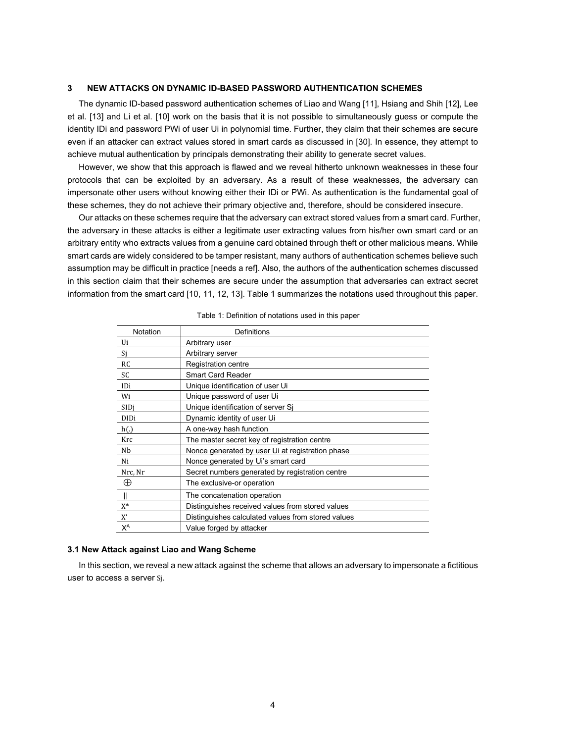## **3 NEW ATTACKS ON DYNAMIC ID-BASED PASSWORD AUTHENTICATION SCHEMES**

The dynamic ID-based password authentication schemes of Liao and Wang [11], Hsiang and Shih [12], Lee et al. [13] and Li et al. [10] work on the basis that it is not possible to simultaneously guess or compute the identity IDi and password PWi of user Ui in polynomial time. Further, they claim that their schemes are secure even if an attacker can extract values stored in smart cards as discussed in [30]. In essence, they attempt to achieve mutual authentication by principals demonstrating their ability to generate secret values.

However, we show that this approach is flawed and we reveal hitherto unknown weaknesses in these four protocols that can be exploited by an adversary. As a result of these weaknesses, the adversary can impersonate other users without knowing either their IDi or PWi. As authentication is the fundamental goal of these schemes, they do not achieve their primary objective and, therefore, should be considered insecure.

Our attacks on these schemes require that the adversary can extract stored values from a smart card. Further, the adversary in these attacks is either a legitimate user extracting values from his/her own smart card or an arbitrary entity who extracts values from a genuine card obtained through theft or other malicious means. While smart cards are widely considered to be tamper resistant, many authors of authentication schemes believe such assumption may be difficult in practice [needs a ref]. Also, the authors of the authentication schemes discussed in this section claim that their schemes are secure under the assumption that adversaries can extract secret information from the smart card [10, 11, 12, 13]. Table 1 summarizes the notations used throughout this paper.

| Notation    | Definitions                                        |  |
|-------------|----------------------------------------------------|--|
| Ui          | Arbitrary user                                     |  |
| Si          | Arbitrary server                                   |  |
| <b>RC</b>   | Registration centre                                |  |
| SC          | <b>Smart Card Reader</b>                           |  |
| IDi         | Unique identification of user Ui                   |  |
| Wi          | Unique password of user Ui                         |  |
| SIDi        | Unique identification of server Si                 |  |
| <b>DIDi</b> | Dynamic identity of user Ui                        |  |
| h(.)        | A one-way hash function                            |  |
| Krc         | The master secret key of registration centre       |  |
| Nb          | Nonce generated by user Ui at registration phase   |  |
| Ni          | Nonce generated by Ui's smart card                 |  |
| Nrc, Nr     | Secret numbers generated by registration centre    |  |
| ⊕           | The exclusive-or operation                         |  |
|             | The concatenation operation                        |  |
| $X^*$       | Distinguishes received values from stored values   |  |
| X'          | Distinguishes calculated values from stored values |  |
| ΧA          | Value forged by attacker                           |  |

#### Table 1: Definition of notations used in this paper

#### **3.1 New Attack against Liao and Wang Scheme**

In this section, we reveal a new attack against the scheme that allows an adversary to impersonate a fictitious user to access a server Sj.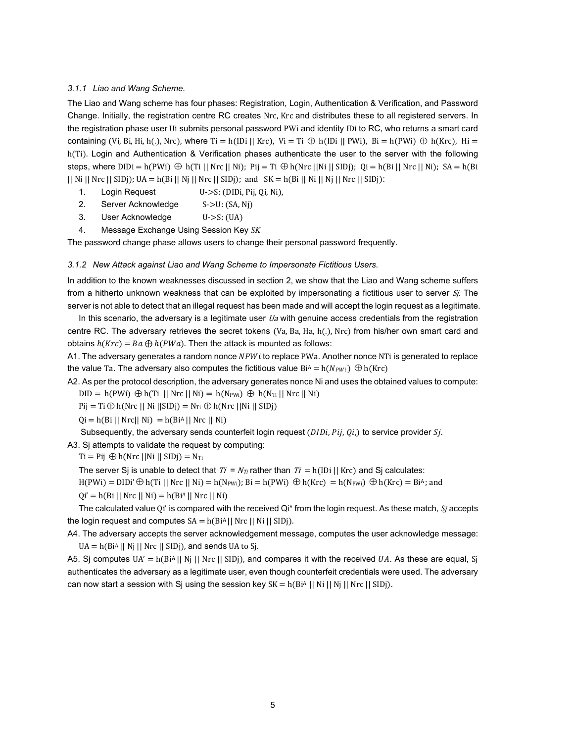## *3.1.1 Liao and Wang Scheme.*

The Liao and Wang scheme has four phases: Registration, Login, Authentication & Verification, and Password Change. Initially, the registration centre RC creates Nrc, Krc and distributes these to all registered servers. In the registration phase user Ui submits personal password PWi and identity IDi to RC, who returns a smart card containing (Vi, Bi, Hi, h(.), Nrc), where Ti = h(IDi || Krc), Vi = Ti  $\oplus$  h(IDi || PWi), Bi = h(PWi)  $\oplus$  h(Krc), Hi = h(Ti). Login and Authentication & Verification phases authenticate the user to the server with the following steps, where  $DIDi = h(PWi) \oplus h(Ti || Nrc || Ni);$   $Pii = Ti \oplus h(Nrc || Ni || SIDi);$   $Qi = h(Bi || Nrc || Ni);$   $SA = h(Bi)$ || Ni || Nrc || SIDj); UA = h(Bi || Nj || Nrc || SIDj); and  $SK = h(Bi || Nj || Nrc || SIDj)$ :

- 1. Login Request U->S: (DIDi, Pij, Qi, Ni),
- 2. Server Acknowledge S->U: (SA, Nj)
- 3. User Acknowledge U->S: (UA)
- 4. Message Exchange Using Session Key *SK*

The password change phase allows users to change their personal password frequently.

#### *3.1.2 New Attack against Liao and Wang Scheme to Impersonate Fictitious Users.*

In addition to the known weaknesses discussed in section 2, we show that the Liao and Wang scheme suffers from a hitherto unknown weakness that can be exploited by impersonating a fictitious user to server Sj. The server is not able to detect that an illegal request has been made and will accept the login request as a legitimate.

In this scenario, the adversary is a legitimate user  $Ua$  with genuine access credentials from the registration centre RC. The adversary retrieves the secret tokens (Va, Ba, Ha, h(.), Nrc) from his/her own smart card and obtains  $h(Krc) = Ba \bigoplus h(PWa)$ . Then the attack is mounted as follows:

A1. The adversary generates a random nonce NPWi to replace PWa. Another nonce NTi is generated to replace the value Ta. The adversary also computes the fictitious value  $Bi^A = h(N_{PW}) \oplus h(Krc)$ 

A2. As per the protocol description, the adversary generates nonce Ni and uses the obtained values to compute:

 $DID = h(PWi) \oplus h(Ti || Nrc || Ni) = h(N_{PWi}) \oplus h(N_{Ti} || Nrc || Ni)$ 

 $Pij = Ti \bigoplus h(Nrc || Ni || SIDi) = NTi \bigoplus h(Nrc ||Ni || SIDi)$ 

 $Qi = h(Bi || Nrc|| Ni) = h(BiA || Nrc || Ni)$ 

Subsequently, the adversary sends counterfeit login request ( $DIDi$ ,  $Pij$ ,  $Qi$ ,) to service provider  $Sj$ .

A3. Sj attempts to validate the request by computing:

Ti = Pij  $\oplus$  h(Nrc ||Ni || SIDj) = N<sub>Ti</sub>

The server S<sub>I</sub> is unable to detect that  $Ti = N_T$  rather than  $Ti = h(ID] | Krc)$  and S<sub>I</sub> calculates:

 $H(PWi) = DIDi' \oplus h(Ti || Nrc || Ni) = h(NPWi); Bi = h(PWi) \oplus h(Krc) = h(NPWi) \oplus h(Krc) = Bi<sup>A</sup>; and$ 

 $Qi' = h(Bi || Nrc || Ni) = h(BiA || Nrc || Ni)$ 

The calculated value Qi' is compared with the received Qi\* from the login request. As these match, *Sj* accepts the login request and computes  $SA = h(BiA || Nrc || Ni || SIDj)$ .

A4. The adversary accepts the server acknowledgement message, computes the user acknowledge message:  $UA = h(BiA || Nj || Nrc || SIDj)$ , and sends UA to Sj.

A5. Sj computes  $UA' = h(Bi^A || Nj || Nrc || SDj)$ , and compares it with the received UA. As these are equal, Sj authenticates the adversary as a legitimate user, even though counterfeit credentials were used. The adversary can now start a session with Sj using the session key  $SK = h(BiA || Ni || Ni || Nj || Nrc || SIDj)$ .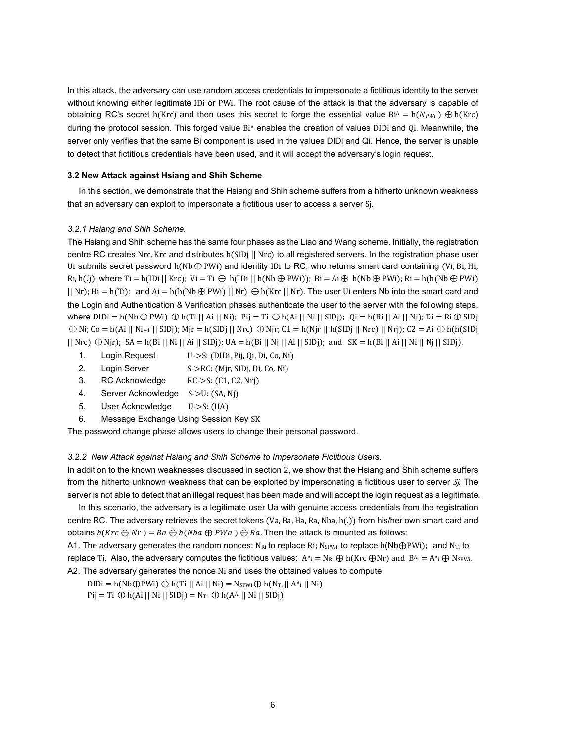In this attack, the adversary can use random access credentials to impersonate a fictitious identity to the server without knowing either legitimate IDi or PWi. The root cause of the attack is that the adversary is capable of obtaining RC's secret h(Krc) and then uses this secret to forge the essential value  $Bi^A = h(N_{PWi}) \oplus h(Krc)$ during the protocol session. This forged value BiA enables the creation of values DIDi and Qi. Meanwhile, the server only verifies that the same Bi component is used in the values DIDi and Qi. Hence, the server is unable to detect that fictitious credentials have been used, and it will accept the adversary's login request.

## **3.2 New Attack against Hsiang and Shih Scheme**

In this section, we demonstrate that the Hsiang and Shih scheme suffers from a hitherto unknown weakness that an adversary can exploit to impersonate a fictitious user to access a server Sj.

# *3.2.1 Hsiang and Shih Scheme.*

The Hsiang and Shih scheme has the same four phases as the Liao and Wang scheme. Initially, the registration centre RC creates Nrc, Krc and distributes h(SIDj || Nrc) to all registered servers. In the registration phase user Ui submits secret password  $h(Nb \oplus PWi)$  and identity IDi to RC, who returns smart card containing (Vi, Bi, Hi, Ri, h(.)), where Ti = h(IDi || Krc); Vi = Ti  $\oplus$  h(IDi || h(Nb $\oplus$  PWi)); Bi = Ai $\oplus$  h(Nb $\oplus$  PWi); Ri = h(h(Nb $\oplus$  PWi)  $||$  Nr); Hi = h(Ti); and Ai = h(h(Nb $\oplus$  PWi)  $||$  Nr)  $\oplus$  h(Krc  $||$  Nr). The user Ui enters Nb into the smart card and the Login and Authentication & Verification phases authenticate the user to the server with the following steps, where  $DIDi = h(Nb \oplus PWi) \oplus h(Ti || Ai || Ni);$  Pij = Ti  $\oplus h(Ai || Ni || SIDi);$  Oi = h(Bi || Ai || Ni); Di = Ri $\oplus$  SIDj  $\oplus$  Ni; Co = h(Ai || Ni<sub>+1</sub> || SIDj); Mir = h(SIDj || Nrc)  $\oplus$  Nir; C1 = h(Nir || h(SIDj || Nrc) || Nrj); C2 = Ai  $\oplus$  h(h(SIDj  $||$  Nrc)  $\oplus$  Njr); SA = h(Bi  $||$  Ni  $||$  Ai  $||$  SIDj); UA = h(Bi  $||$  Nj  $||$  Ai  $||$  SIDj); and SK = h(Bi  $||$  Ai  $||$  Ni  $||$  Nj  $||$  SIDj).

- 1. Login Request U->S: (DIDi, Pij, Qi, Di, Co, Ni)
- 2. Login Server S->RC: (Mjr, SIDj, Di, Co, Ni)
- 3. RC Acknowledge RC->S: (C1, C2, Nrj)
- 4. Server Acknowledge S->U: (SA, Nj)
- 5. User Acknowledge U->S: (UA)
- 6. Message Exchange Using Session Key SK

The password change phase allows users to change their personal password.

# *3.2.2 New Attack against Hsiang and Shih Scheme to Impersonate Fictitious Users.*

In addition to the known weaknesses discussed in section 2, we show that the Hsiang and Shih scheme suffers from the hitherto unknown weakness that can be exploited by impersonating a fictitious user to server Si. The server is not able to detect that an illegal request has been made and will accept the login request as a legitimate.

In this scenario, the adversary is a legitimate user Ua with genuine access credentials from the registration centre RC. The adversary retrieves the secret tokens (Va, Ba, Ha, Ra, Nba, h(.)) from his/her own smart card and obtains  $h(Krc \oplus Nr) = Ba \oplus h(Nba \oplus PWa) \oplus Ra$ . Then the attack is mounted as follows:

A1. The adversary generates the random nonces: NRi to replace Ri; N<sub>SPWi</sub> to replace h(Nb⊕PWi); and N<sub>Ti</sub> to replace Ti. Also, the adversary computes the fictitious values:  $A^A_i = N_{Ri} \bigoplus N(KrC \bigoplus Nr)$  and  $B^A_i = A^A_i \bigoplus N_{SPWi}$ . A2. The adversary generates the nonce Ni and uses the obtained values to compute:

DIDi = h(Nb⊕PWi) ⊕ h(Ti || Ai || Ni) = Nspwi ⊕ h(N<sub>Ti</sub> || A<sup>A</sup>i || Ni)

 $Pij = Ti \bigoplus h(Ai || Ni || SIDj) = N_{Ti} \bigoplus h(A^{A_i} || Ni || SIDj)$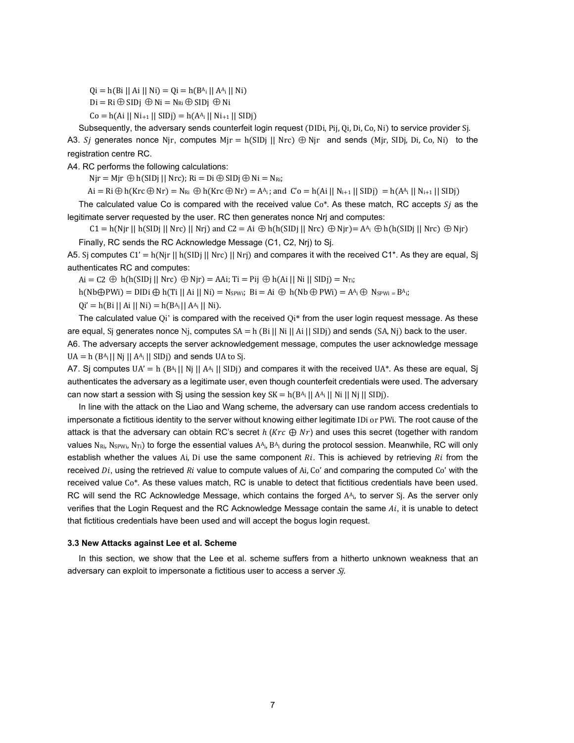$Qi = h(Bi || Ai || Ni) = Qi = h(B<sup>A</sup>i || A<sup>A</sup>i || Ni)$ 

 $Di = Ri \oplus SIDj \oplus Ni = N_{Ri} \oplus SIDj \oplus Ni$ 

 $Co = h(Ai || Ni_{+1} || SIDj) = h(A<sup>A</sup><sub>i</sub> || Ni_{+1} || SIDj)$ 

Subsequently, the adversary sends counterfeit login request (DIDi, Pij, Qi, Di, Co, Ni) to service provider Sj. A3. Sj generates nonce Njr, computes Mjr = h(SIDj || Nrc)  $\oplus$  Njr and sends (Mjr, SIDj, Di, Co, Ni) to the registration centre RC.

A4. RC performs the following calculations:

 $Nir = Mir \oplus h(SIDi || Nrc); Ri = Di \oplus SIDi \oplus Ni = NRi;$ 

 $Ai = Ri \bigoplus h(Krc \bigoplus Nr) = N_{Ri} \bigoplus h(Krc \bigoplus Nr) = A_{i}$ ; and  $C'o = h(Ai || N_{i+1} || SIDj) = h(A_{i} || N_{i+1} || SIDj)$ 

The calculated value Co is compared with the received value  $Co^*$ . As these match, RC accepts  $S_i$  as the legitimate server requested by the user. RC then generates nonce Nrj and computes:

 $C1 = h(Njr || h(SIDj || Nrc) || Nrj)$  and  $C2 = Ai \bigoplus h(h(SIDj || Nrc) \bigoplus Njr) = A^A_i \bigoplus h(h(SIDj || Nrc) \bigoplus Njr)$ Finally, RC sends the RC Acknowledge Message (C1, C2, Nrj) to Sj.

A5. Sj computes  $C1' = h(Njr || h(SID) || Nrc) || Nrj)$  and compares it with the received  $C1^*$ . As they are equal, Sj authenticates RC and computes:

 $Ai = C2 \oplus h(h(SID) || Nrc) \oplus Njr) = AAi; Ti = Pij \oplus h(Ai || Ni || SIDj) = NTi;$ 

h(Nb⊕PWi) = DIDi ⊕ h(Ti || Ai || Ni) = Nspwi; Bi = Ai ⊕ h(Nb⊕ PWi) = A<sup>A</sup>i ⊕ Nspwi = B<sup>A</sup>i;

 $Qi' = h(Bi || Ai || Ni) = h(B<sup>A</sup>i || A<sup>A</sup>i || Ni).$ 

The calculated value Qi' is compared with the received  $Q_i^*$  from the user login request message. As these are equal, Sj generates nonce Nj, computes  $SA = h$  (Bi || Ni || Ai || SIDj) and sends (SA, Nj) back to the user.

A6. The adversary accepts the server acknowledgement message, computes the user acknowledge message  $UA = h (B<sup>A<sub>i</sub></sup> || N<sub>j</sub> || A<sup>A<sub>i</sub></sup> || SIDj)$  and sends UA to Sj.

A7. Sj computes  $UA' = h (B_1 || N_j || A_1 || SD_j)$  and compares it with the received UA\*. As these are equal, Sj authenticates the adversary as a legitimate user, even though counterfeit credentials were used. The adversary can now start a session with Sj using the session key  $SK = h(B_A^a \mid |A_A^a| \mid N_i \mid N_j \mid SID)$ .

In line with the attack on the Liao and Wang scheme, the adversary can use random access credentials to impersonate a fictitious identity to the server without knowing either legitimate IDi or PWi. The root cause of the attack is that the adversary can obtain RC's secret  $h$  ( $Krc \oplus Nr$ ) and uses this secret (together with random values  $N_{Ri}$ , N<sub>SPWi</sub>, N<sub>Ti</sub>) to forge the essential values  $A_{i}$ ,  $B_{i}$  during the protocol session. Meanwhile, RC will only establish whether the values Ai, Di use the same component  $R_i$ . This is achieved by retrieving  $R_i$  from the received  $Di$ , using the retrieved  $Ri$  value to compute values of  $Ai$ , Co' and comparing the computed Co' with the received value Co\*. As these values match, RC is unable to detect that fictitious credentials have been used. RC will send the RC Acknowledge Message, which contains the forged  $A_{i}$ , to server  $S_i$ . As the server only verifies that the Login Request and the RC Acknowledge Message contain the same  $Ai$ , it is unable to detect that fictitious credentials have been used and will accept the bogus login request.

## **3.3 New Attacks against Lee et al. Scheme**

In this section, we show that the Lee et al. scheme suffers from a hitherto unknown weakness that an adversary can exploit to impersonate a fictitious user to access a server Si.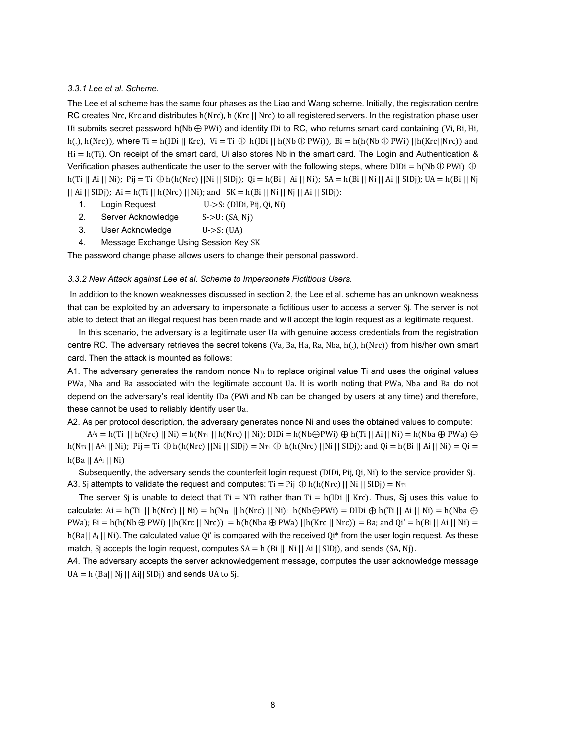## *3.3.1 Lee et al. Scheme.*

The Lee et al scheme has the same four phases as the Liao and Wang scheme. Initially, the registration centre RC creates Nrc, Krc and distributes h(Nrc), h (Krc || Nrc) to all registered servers. In the registration phase user Ui submits secret password  $h(Nb \oplus PW)$  and identity IDi to RC, who returns smart card containing (Vi, Bi, Hi, h(.), h(Nrc)), where Ti = h(IDi || Krc), Vi = Ti  $\oplus$  h(IDi || h(Nb $\oplus$  PWi)), Bi = h(h(Nb $\oplus$  PWi) ||h(Krc||Nrc)) and  $Hi = h(Ti)$ . On receipt of the smart card, Ui also stores Nb in the smart card. The Login and Authentication & Verification phases authenticate the user to the server with the following steps, where DIDi = h(Nb⊕ PWi) ⊕ h(Ti || Ai || Ni); Pij = Ti  $\oplus$  h(h(Nrc) ||Ni || SIDj); Qi = h(Bi || Ai || Ni); SA = h(Bi || Ni || Ai || SIDj); UA = h(Bi || Nj  $||$  Ai  $||$  SIDj); Ai = h(Ti  $||$  h(Nrc)  $||$  Ni); and SK = h(Bi  $||$  Ni  $||$  Nj  $||$  Ai  $||$  SIDj):

- 1. Login Request U->S: (DIDi, Pij, Qi, Ni)
- 2. Server Acknowledge S->U: (SA, Nj)
- 3. User Acknowledge U->S: (UA)
- 4. Message Exchange Using Session Key SK

The password change phase allows users to change their personal password.

#### *3.3.2 New Attack against Lee et al. Scheme to Impersonate Fictitious Users.*

In addition to the known weaknesses discussed in section 2, the Lee et al. scheme has an unknown weakness that can be exploited by an adversary to impersonate a fictitious user to access a server Sj. The server is not able to detect that an illegal request has been made and will accept the login request as a legitimate request.

In this scenario, the adversary is a legitimate user Ua with genuine access credentials from the registration centre RC. The adversary retrieves the secret tokens (Va, Ba, Ha, Ra, Nba, h(.), h(Nrc)) from his/her own smart card. Then the attack is mounted as follows:

A1. The adversary generates the random nonce  $N_{Ti}$  to replace original value Ti and uses the original values PWa, Nba and Ba associated with the legitimate account Ua. It is worth noting that PWa, Nba and Ba do not depend on the adversary's real identity IDa (PWi and Nb can be changed by users at any time) and therefore, these cannot be used to reliably identify user Ua.

A2. As per protocol description, the adversary generates nonce Ni and uses the obtained values to compute:

 $A^{A_i} = h(Ti \mid \mid h(Nrc) \mid \mid Ni) = h(Nr_i \mid \mid h(Nrc) \mid \mid Ni)$ ; DIDi = h(Nb⊕PWi) ⊕ h(Ti || Ai || Ni) = h(Nba ⊕ PWa) ⊕ h(N<sub>Ti</sub> || A<sup>A</sup>i || Ni); Pij = Ti  $\oplus$  h(h(Nrc) ||Ni || SIDj) = N<sub>Ti</sub>  $\oplus$  h(h(Nrc) ||Ni || SIDj); and Qi = h(Bi || Ai || Ni) = Qi =  $h(Ba || A<sup>A<sub>i</sub></sup> || Ni)$ 

Subsequently, the adversary sends the counterfeit login request (DIDi, Pij, Qi, Ni) to the service provider Sj. A3. Sj attempts to validate the request and computes: Ti = Pij  $\oplus$  h(h(Nrc) || Ni || SIDj) = N<sub>Ti</sub>

The server Sj is unable to detect that Ti = NTi rather than Ti = h(IDi || Krc). Thus, Sj uses this value to calculate: Ai = h(Ti || h(Nrc) || Ni) = h(N<sub>Ti</sub> || h(Nrc) || Ni); h(Nb⊕PWi) = DIDi ⊕ h(Ti || Ai || Ni) = h(Nba ⊕ PWa); Bi = h(h(Nb⊕ PWi) ||h(Krc || Nrc)) = h(h(Nba⊕ PWa) ||h(Krc || Nrc)) = Ba; and Qi' = h(Bi || Ai || Ni) = h(Ba|| A<sub>i</sub> || Ni). The calculated value Qi' is compared with the received Qi\* from the user login request. As these match, S<sub>i</sub> accepts the login request, computes  $SA = h$  (Bi || Ni || Ai || SIDj), and sends (SA, Nj).

A4. The adversary accepts the server acknowledgement message, computes the user acknowledge message  $UA = h$  (Ba|| Nj || Ai|| SIDj) and sends UA to Sj.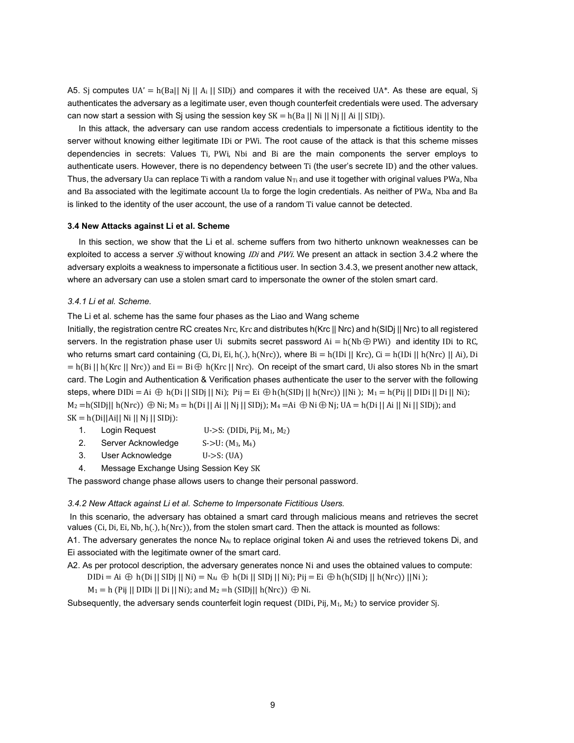A5. Sj computes  $UA' = h(Ba|| Nj || A_i || SIDj)$  and compares it with the received UA\*. As these are equal, Sj authenticates the adversary as a legitimate user, even though counterfeit credentials were used. The adversary can now start a session with Sj using the session key  $SK = h(Ba \mid |Ni \mid |Ni \mid |SiDi)$ .

In this attack, the adversary can use random access credentials to impersonate a fictitious identity to the server without knowing either legitimate IDi or PWi. The root cause of the attack is that this scheme misses dependencies in secrets: Values Ti, PWi, Nbi and Bi are the main components the server employs to authenticate users. However, there is no dependency between Ti (the user's secrete ID) and the other values. Thus, the adversary Ua can replace Ti with a random value  $N_{Ti}$  and use it together with original values PWa, Nba and Ba associated with the legitimate account Ua to forge the login credentials. As neither of PWa, Nba and Ba is linked to the identity of the user account, the use of a random Ti value cannot be detected.

# **3.4 New Attacks against Li et al. Scheme**

In this section, we show that the Li et al. scheme suffers from two hitherto unknown weaknesses can be exploited to access a server  $S_j$  without knowing *IDi* and *PWi*. We present an attack in section 3.4.2 where the adversary exploits a weakness to impersonate a fictitious user. In section 3.4.3, we present another new attack, where an adversary can use a stolen smart card to impersonate the owner of the stolen smart card.

## *3.4.1 Li et al. Scheme.*

The Li et al. scheme has the same four phases as the Liao and Wang scheme

Initially, the registration centre RC creates Nrc, Krc and distributes h(Krc || Nrc) and h(SIDj || Nrc) to all registered servers. In the registration phase user Ui submits secret password  $Ai = h(Nb \oplus PW)$  and identity IDi to RC, who returns smart card containing (Ci, Di, Ei, h(.), h(Nrc)), where  $Bi = h(ID]$  | Krc), Ci = h(IDi || h(Nrc) || Ai), Di  $= h(Bi || h(Krc || Nrc))$  and  $Ei = Bi \oplus h(Krc || Nrc)$ . On receipt of the smart card, Ui also stores Nb in the smart card. The Login and Authentication & Verification phases authenticate the user to the server with the following steps, where  $DIDi = Ai \oplus h(Di || SIDj || Ni);$   $Pij = Ei \oplus h(h(SIDj || h(Nrc)) || Ni);$   $M_1 = h(Pij || DIDi || Di || Ni);$  $M_2 = h(SIDj|| h(Nrc)) \oplus Ni; M_3 = h(Di || Ai || Nj || SIDj); M_4 = Ai \oplus Ni \oplus Nj; UA = h(Di || Ai || Ni || SIDj); and$  $SK = h(Di||Ai|| Ni || Nj || SIDj):$ 

- 1. Login Request  $U\rightarrow S$ : (DIDi, Pij, M<sub>1</sub>, M<sub>2</sub>)
- 2. Server Acknowledge S->U: (M<sub>3</sub>, M<sub>4</sub>)
- 3. User Acknowledge U->S: (UA)
- 4. Message Exchange Using Session Key SK

The password change phase allows users to change their personal password.

## *3.4.2 New Attack against Li et al. Scheme to Impersonate Fictitious Users.*

In this scenario, the adversary has obtained a smart card through malicious means and retrieves the secret values (Ci, Di, Ei, Nb, h(.), h(Nrc)), from the stolen smart card. Then the attack is mounted as follows:

A1. The adversary generates the nonce  $N_{Ai}$  to replace original token Ai and uses the retrieved tokens Di, and Ei associated with the legitimate owner of the smart card.

A2. As per protocol description, the adversary generates nonce Ni and uses the obtained values to compute:

$$
DIDi = Ai \oplus h(Di || SIDj || Ni) = N_{Ai} \oplus h(Di || SIDj || Ni); Pij = Ei \oplus h(h(SIDj || h(Nrc)) || Ni);
$$

 $M_1 = h$  (Pij || DIDi || Di || Ni); and  $M_2 = h$  (SIDj|| h(Nrc))  $\oplus$  Ni.

Subsequently, the adversary sends counterfeit login request (DIDi, Pij,  $M_1$ ,  $M_2$ ) to service provider Sj.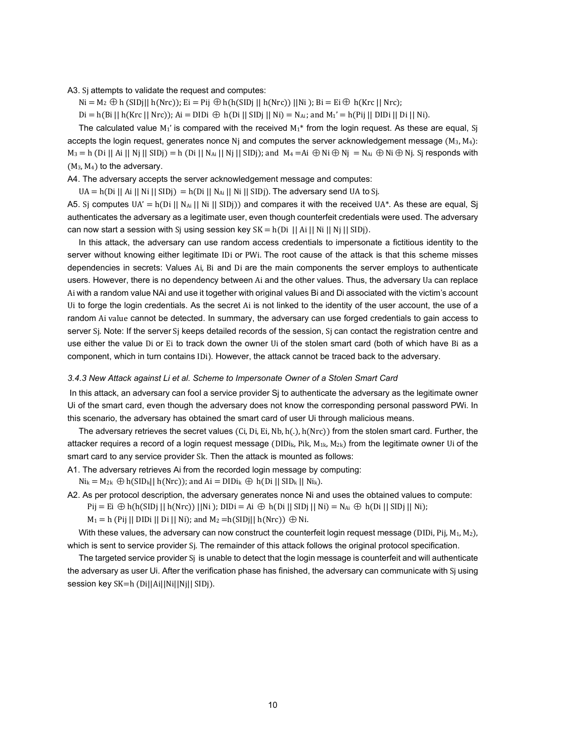A3. Sj attempts to validate the request and computes:

 $Ni = M_2 \oplus h(SIDj|| h(Nrc))$ ; Ei = Pij  $\oplus h(h(SIDj || h(Nrc)) || Ni)$ ; Bi = Ei $\oplus h(Krc || Nrc)$ ;

 $Di = h(Bi || h(Krc || Nrc))$ ; Ai = DIDi  $\bigoplus h(Di || SIDj || Ni) = N_{Ai}$ ; and  $M_1' = h(Pij || DIDi || Di || Ni)$ .

The calculated value  $M_1'$  is compared with the received  $M_1^*$  from the login request. As these are equal, Sj accepts the login request, generates nonce N<sub>i</sub> and computes the server acknowledgement message  $(M_3, M_4)$ :  $M_3 = h$  (Di || Ai || Nj || SIDj) = h (Di || N<sub>Ai</sub> || Nj || SIDj); and  $M_4 = A$ i  $\oplus$  Ni $\oplus$  Nj  $= N_{Ai} \oplus N$ j $\oplus$  Nj. Sj responds with  $(M_3, M_4)$  to the adversary.

A4. The adversary accepts the server acknowledgement message and computes:

 $UA = h(Di \mid Ai \mid Ni \mid SIDj) = h(Di \mid N_{Ai} \mid Ni \mid SIDj)$ . The adversary send UA to Sj.

A5. Sj computes UA' =  $h(Di || Na<sub>i</sub> || Ni || SIDj)$  and compares it with the received UA\*. As these are equal, Sj authenticates the adversary as a legitimate user, even though counterfeit credentials were used. The adversary can now start a session with S<sub>i</sub> using session key SK = h(Di || Ai || Ni || Nj || SIDj).

In this attack, the adversary can use random access credentials to impersonate a fictitious identity to the server without knowing either legitimate IDi or PWi. The root cause of the attack is that this scheme misses dependencies in secrets: Values Ai, Bi and Di are the main components the server employs to authenticate users. However, there is no dependency between Ai and the other values. Thus, the adversary Ua can replace Ai with a random value NAi and use it together with original values Bi and Di associated with the victim's account Ui to forge the login credentials. As the secret Ai is not linked to the identity of the user account, the use of a random Ai value cannot be detected. In summary, the adversary can use forged credentials to gain access to server Sj. Note: If the server Sj keeps detailed records of the session, Sj can contact the registration centre and use either the value Di or Ei to track down the owner Ui of the stolen smart card (both of which have Bi as a component, which in turn contains IDi). However, the attack cannot be traced back to the adversary.

#### *3.4.3 New Attack against Li et al. Scheme to Impersonate Owner of a Stolen Smart Card*

In this attack, an adversary can fool a service provider Sj to authenticate the adversary as the legitimate owner Ui of the smart card, even though the adversary does not know the corresponding personal password PWi. In this scenario, the adversary has obtained the smart card of user Ui through malicious means.

The adversary retrieves the secret values (Ci, Di, Ei, Nb, h(.), h(Nrc)) from the stolen smart card. Further, the attacker requires a record of a login request message (DIDi<sub>k</sub>, Pik, M<sub>1k</sub>, M<sub>2k</sub>) from the legitimate owner Ui of the smart card to any service provider Sk. Then the attack is mounted as follows:

A1. The adversary retrieves Ai from the recorded login message by computing:

 $Ni_k = M_{2k} \oplus h(SID_k || h(Nrc))$ ; and  $Ai = DIDi_k \oplus h(Di || SID_k || Ni_k)$ .

A2. As per protocol description, the adversary generates nonce Ni and uses the obtained values to compute:

Pij = Ei ⊕ h(h(SIDj || h(Nrc)) ||Ni ); DIDi = Ai ⊕ h(Di || SIDj || Ni) = N<sub>Ai</sub> ⊕ h(Di || SIDj || Ni);

 $M_1 = h$  (Pij || DIDi || Di || Ni); and  $M_2 = h(SIDj|| h(Nrc)) \oplus Ni$ .

With these values, the adversary can now construct the counterfeit login request message (DIDi, Pij,  $M_1, M_2$ ), which is sent to service provider Sj. The remainder of this attack follows the original protocol specification.

The targeted service provider Sj is unable to detect that the login message is counterfeit and will authenticate the adversary as user Ui. After the verification phase has finished, the adversary can communicate with Sj using session key SK=h (Di||Ai||Ni||Nj|| SIDj).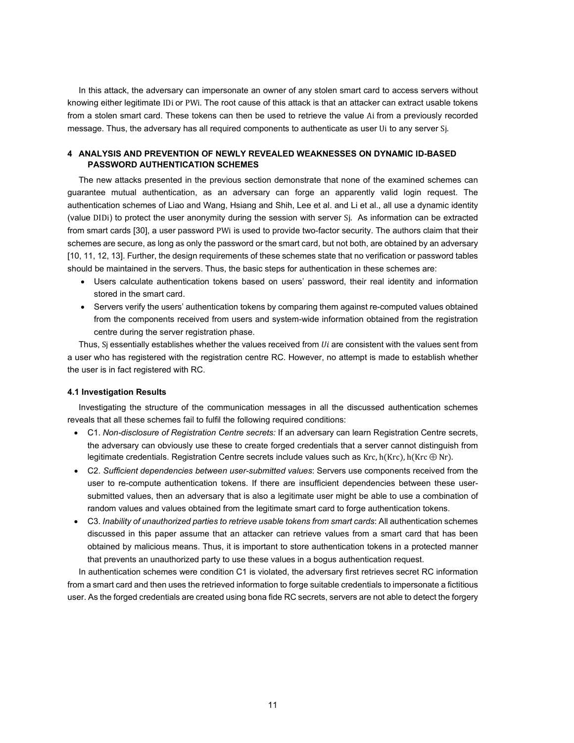In this attack, the adversary can impersonate an owner of any stolen smart card to access servers without knowing either legitimate IDi or PWi. The root cause of this attack is that an attacker can extract usable tokens from a stolen smart card. These tokens can then be used to retrieve the value Ai from a previously recorded message. Thus, the adversary has all required components to authenticate as user Ui to any server Sj.

# **4 ANALYSIS AND PREVENTION OF NEWLY REVEALED WEAKNESSES ON DYNAMIC ID-BASED PASSWORD AUTHENTICATION SCHEMES**

The new attacks presented in the previous section demonstrate that none of the examined schemes can guarantee mutual authentication, as an adversary can forge an apparently valid login request. The authentication schemes of Liao and Wang, Hsiang and Shih, Lee et al. and Li et al., all use a dynamic identity (value DIDi) to protect the user anonymity during the session with server Sj. As information can be extracted from smart cards [30], a user password PWi is used to provide two-factor security. The authors claim that their schemes are secure, as long as only the password or the smart card, but not both, are obtained by an adversary [10, 11, 12, 13]. Further, the design requirements of these schemes state that no verification or password tables should be maintained in the servers. Thus, the basic steps for authentication in these schemes are:

- Users calculate authentication tokens based on users' password, their real identity and information stored in the smart card.
- Servers verify the users' authentication tokens by comparing them against re-computed values obtained from the components received from users and system-wide information obtained from the registration centre during the server registration phase.

Thus, Sj essentially establishes whether the values received from  $U_i$  are consistent with the values sent from a user who has registered with the registration centre RC. However, no attempt is made to establish whether the user is in fact registered with RC.

# **4.1 Investigation Results**

Investigating the structure of the communication messages in all the discussed authentication schemes reveals that all these schemes fail to fulfil the following required conditions:

- C1. *Non-disclosure of Registration Centre secrets:* If an adversary can learn Registration Centre secrets, the adversary can obviously use these to create forged credentials that a server cannot distinguish from legitimate credentials. Registration Centre secrets include values such as Krc,  $h(Krc)$ ,  $h(Krc \oplus Nr)$ .
- C2. *Sufficient dependencies between user-submitted values*: Servers use components received from the user to re-compute authentication tokens. If there are insufficient dependencies between these usersubmitted values, then an adversary that is also a legitimate user might be able to use a combination of random values and values obtained from the legitimate smart card to forge authentication tokens.
- C3. *Inability of unauthorized parties to retrieve usable tokens from smart cards*: All authentication schemes discussed in this paper assume that an attacker can retrieve values from a smart card that has been obtained by malicious means. Thus, it is important to store authentication tokens in a protected manner that prevents an unauthorized party to use these values in a bogus authentication request.

In authentication schemes were condition C1 is violated, the adversary first retrieves secret RC information from a smart card and then uses the retrieved information to forge suitable credentials to impersonate a fictitious user. As the forged credentials are created using bona fide RC secrets, servers are not able to detect the forgery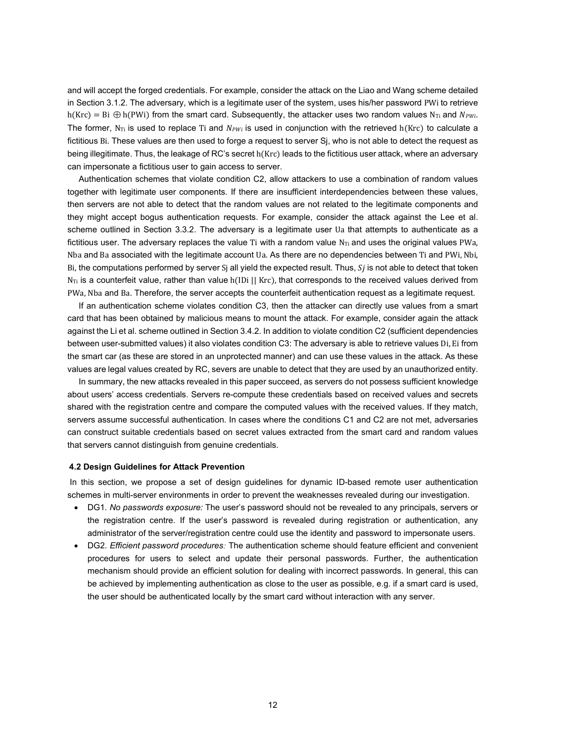and will accept the forged credentials. For example, consider the attack on the Liao and Wang scheme detailed in Section 3.1.2. The adversary, which is a legitimate user of the system, uses his/her password PWi to retrieve h(Krc) = Bi  $\oplus$  h(PWi) from the smart card. Subsequently, the attacker uses two random values N<sub>Ti</sub> and  $N_{PWL}$ The former, N<sub>Ti</sub> is used to replace Ti and  $N_{PW}$  is used in conjunction with the retrieved h(Krc) to calculate a fictitious Bi. These values are then used to forge a request to server Sj, who is not able to detect the request as being illegitimate. Thus, the leakage of RC's secret h(Krc) leads to the fictitious user attack, where an adversary can impersonate a fictitious user to gain access to server.

Authentication schemes that violate condition C2, allow attackers to use a combination of random values together with legitimate user components. If there are insufficient interdependencies between these values, then servers are not able to detect that the random values are not related to the legitimate components and they might accept bogus authentication requests. For example, consider the attack against the Lee et al. scheme outlined in Section 3.3.2. The adversary is a legitimate user Ua that attempts to authenticate as a fictitious user. The adversary replaces the value Ti with a random value  $N_{Ti}$  and uses the original values PWa, Nba and Ba associated with the legitimate account Ua. As there are no dependencies between Ti and PWi, Nbi, Bi, the computations performed by server  $S_j$  all yield the expected result. Thus,  $S_j$  is not able to detect that token  $N_{Ti}$  is a counterfeit value, rather than value h(IDi || Krc), that corresponds to the received values derived from PWa, Nba and Ba. Therefore, the server accepts the counterfeit authentication request as a legitimate request.

If an authentication scheme violates condition C3, then the attacker can directly use values from a smart card that has been obtained by malicious means to mount the attack. For example, consider again the attack against the Li et al. scheme outlined in Section 3.4.2. In addition to violate condition C2 (sufficient dependencies between user-submitted values) it also violates condition C3: The adversary is able to retrieve values Di, Ei from the smart car (as these are stored in an unprotected manner) and can use these values in the attack. As these values are legal values created by RC, severs are unable to detect that they are used by an unauthorized entity.

In summary, the new attacks revealed in this paper succeed, as servers do not possess sufficient knowledge about users' access credentials. Servers re-compute these credentials based on received values and secrets shared with the registration centre and compare the computed values with the received values. If they match, servers assume successful authentication. In cases where the conditions C1 and C2 are not met, adversaries can construct suitable credentials based on secret values extracted from the smart card and random values that servers cannot distinguish from genuine credentials.

## **4.2 Design Guidelines for Attack Prevention**

In this section, we propose a set of design guidelines for dynamic ID-based remote user authentication schemes in multi-server environments in order to prevent the weaknesses revealed during our investigation.

- DG1*. No passwords exposure:* The user's password should not be revealed to any principals, servers or the registration centre. If the user's password is revealed during registration or authentication, any administrator of the server/registration centre could use the identity and password to impersonate users.
- DG2*. Efficient password procedures:* The authentication scheme should feature efficient and convenient procedures for users to select and update their personal passwords. Further, the authentication mechanism should provide an efficient solution for dealing with incorrect passwords. In general, this can be achieved by implementing authentication as close to the user as possible, e.g. if a smart card is used, the user should be authenticated locally by the smart card without interaction with any server.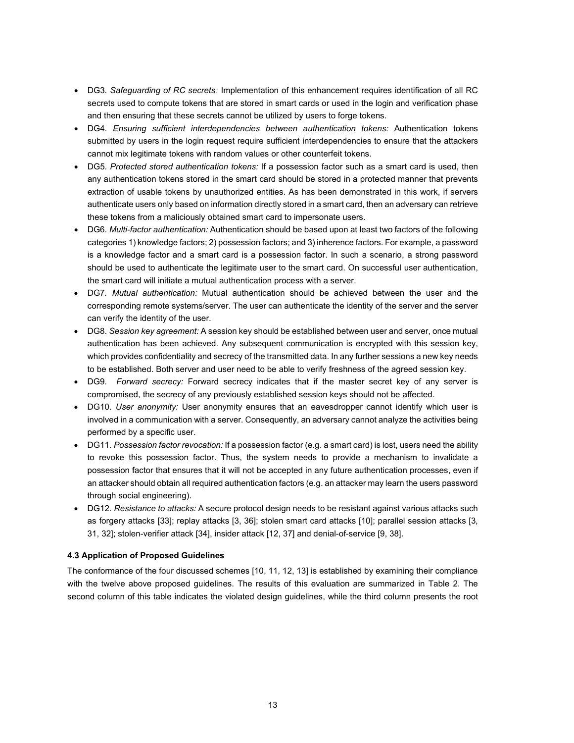- DG3*. Safeguarding of RC secrets:* Implementation of this enhancement requires identification of all RC secrets used to compute tokens that are stored in smart cards or used in the login and verification phase and then ensuring that these secrets cannot be utilized by users to forge tokens.
- DG4*. Ensuring sufficient interdependencies between authentication tokens:* Authentication tokens submitted by users in the login request require sufficient interdependencies to ensure that the attackers cannot mix legitimate tokens with random values or other counterfeit tokens.
- DG5*. Protected stored authentication tokens:* If a possession factor such as a smart card is used, then any authentication tokens stored in the smart card should be stored in a protected manner that prevents extraction of usable tokens by unauthorized entities. As has been demonstrated in this work, if servers authenticate users only based on information directly stored in a smart card, then an adversary can retrieve these tokens from a maliciously obtained smart card to impersonate users.
- DG6*. Multi-factor authentication:* Authentication should be based upon at least two factors of the following categories 1) knowledge factors; 2) possession factors; and 3) inherence factors. For example, a password is a knowledge factor and a smart card is a possession factor. In such a scenario, a strong password should be used to authenticate the legitimate user to the smart card. On successful user authentication, the smart card will initiate a mutual authentication process with a server.
- DG7*. Mutual authentication:* Mutual authentication should be achieved between the user and the corresponding remote systems/server. The user can authenticate the identity of the server and the server can verify the identity of the user.
- DG8. *Session key agreement:* A session key should be established between user and server, once mutual authentication has been achieved. Any subsequent communication is encrypted with this session key, which provides confidentiality and secrecy of the transmitted data. In any further sessions a new key needs to be established. Both server and user need to be able to verify freshness of the agreed session key.
- DG9*. Forward secrecy:* Forward secrecy indicates that if the master secret key of any server is compromised, the secrecy of any previously established session keys should not be affected.
- DG10*. User anonymity:* User anonymity ensures that an eavesdropper cannot identify which user is involved in a communication with a server. Consequently, an adversary cannot analyze the activities being performed by a specific user.
- DG11. *Possession factor revocation:* If a possession factor (e.g. a smart card) is lost, users need the ability to revoke this possession factor. Thus, the system needs to provide a mechanism to invalidate a possession factor that ensures that it will not be accepted in any future authentication processes, even if an attacker should obtain all required authentication factors (e.g. an attacker may learn the users password through social engineering).
- DG12*. Resistance to attacks:* A secure protocol design needs to be resistant against various attacks such as forgery attacks [33]; replay attacks [3, 36]; stolen smart card attacks [10]; parallel session attacks [3, 31, 32]; stolen-verifier attack [34], insider attack [12, 37] and denial-of-service [9, 38].

# **4.3 Application of Proposed Guidelines**

The conformance of the four discussed schemes [10, 11, 12, 13] is established by examining their compliance with the twelve above proposed guidelines. The results of this evaluation are summarized in Table 2. The second column of this table indicates the violated design guidelines, while the third column presents the root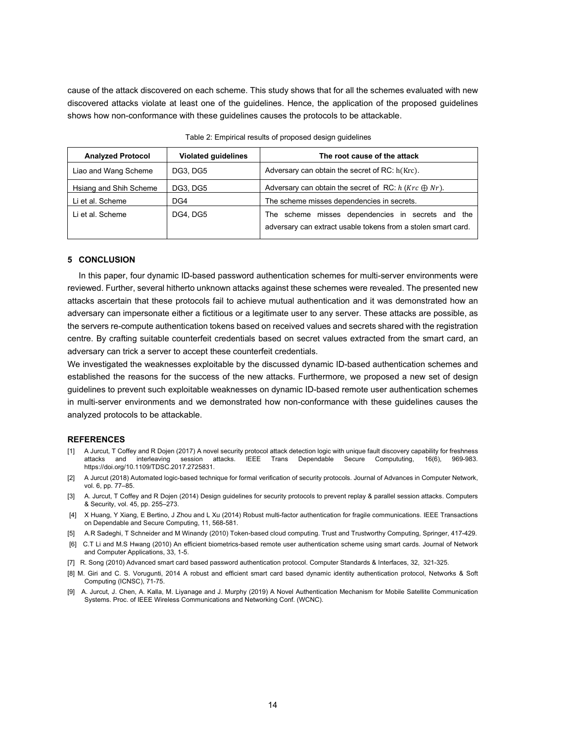cause of the attack discovered on each scheme. This study shows that for all the schemes evaluated with new discovered attacks violate at least one of the guidelines. Hence, the application of the proposed guidelines shows how non-conformance with these guidelines causes the protocols to be attackable.

| <b>Analyzed Protocol</b> | <b>Violated guidelines</b> | The root cause of the attack                                                                                       |
|--------------------------|----------------------------|--------------------------------------------------------------------------------------------------------------------|
| Liao and Wang Scheme     | DG3, DG5                   | Adversary can obtain the secret of RC: h(Krc).                                                                     |
| Hsiang and Shih Scheme   | DG3, DG5                   | Adversary can obtain the secret of RC: $h(Krc \oplus Nr)$ .                                                        |
| Li et al. Scheme         | DG4                        | The scheme misses dependencies in secrets.                                                                         |
| Li et al. Scheme         | DG4, DG5                   | The scheme misses dependencies in secrets and the<br>adversary can extract usable tokens from a stolen smart card. |

## **5 CONCLUSION**

In this paper, four dynamic ID-based password authentication schemes for multi-server environments were reviewed. Further, several hitherto unknown attacks against these schemes were revealed. The presented new attacks ascertain that these protocols fail to achieve mutual authentication and it was demonstrated how an adversary can impersonate either a fictitious or a legitimate user to any server. These attacks are possible, as the servers re-compute authentication tokens based on received values and secrets shared with the registration centre. By crafting suitable counterfeit credentials based on secret values extracted from the smart card, an adversary can trick a server to accept these counterfeit credentials.

We investigated the weaknesses exploitable by the discussed dynamic ID-based authentication schemes and established the reasons for the success of the new attacks. Furthermore, we proposed a new set of design guidelines to prevent such exploitable weaknesses on dynamic ID-based remote user authentication schemes in multi-server environments and we demonstrated how non-conformance with these guidelines causes the analyzed protocols to be attackable.

## **REFERENCES**

- [1] A Jurcut, T Coffey and R Dojen (2017) A novel security protocol attack detection logic with unique fault discovery capability for freshness attacks and interleaving session attacks. IEEE Trans Dependable Secure Compututing, 16(6), 969-983. https://doi.org/10.1109/TDSC.2017.2725831.
- [2] A Jurcut (2018) Automated logic-based technique for formal verification of security protocols. Journal of Advances in Computer Network, vol. 6, pp. 77–85.
- [3] A. Jurcut, T Coffey and R Dojen (2014) Design guidelines for security protocols to prevent replay & parallel session attacks. Computers & Security, vol. 45, pp. 255–273.
- [4] X Huang, Y Xiang, E Bertino, J Zhou and L Xu (2014) Robust multi-factor authentication for fragile communications. IEEE Transactions on Dependable and Secure Computing, 11, 568-581.
- [5] A.R Sadeghi, T Schneider and M Winandy (2010) Token-based cloud computing. Trust and Trustworthy Computing, Springer, 417-429.
- [6] C.T Li and M.S Hwang (2010) An efficient biometrics-based remote user authentication scheme using smart cards. Journal of Network and Computer Applications, 33, 1-5.
- [7] R. Song (2010) Advanced smart card based password authentication protocol. Computer Standards & Interfaces, 32, 321-325.
- [8] M. Giri and C. S. Vorugunti, 2014 A robust and efficient smart card based dynamic identity authentication protocol, Networks & Soft Computing (ICNSC), 71-75.
- [9] A. Jurcut, J. Chen, A. Kalla, M. Liyanage and J. Murphy (2019) A Novel Authentication Mechanism for Mobile Satellite Communication Systems. Proc. of IEEE Wireless Communications and Networking Conf. (WCNC).